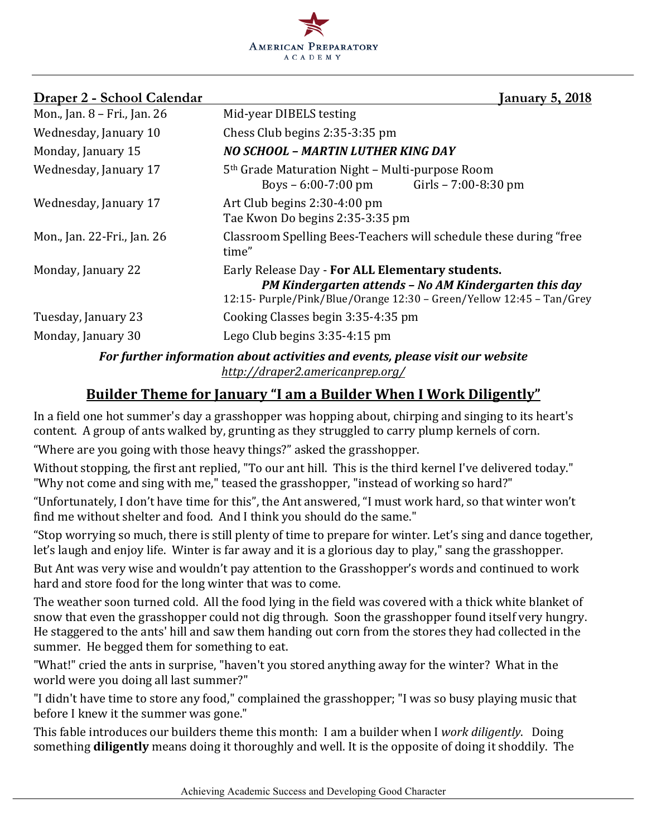

| Draper 2 - School Calendar                                                    | January 5, 2018                                                                                                                                                                   |  |  |  |
|-------------------------------------------------------------------------------|-----------------------------------------------------------------------------------------------------------------------------------------------------------------------------------|--|--|--|
| Mon., Jan. 8 - Fri., Jan. 26                                                  | Mid-year DIBELS testing                                                                                                                                                           |  |  |  |
| Wednesday, January 10                                                         | Chess Club begins 2:35-3:35 pm                                                                                                                                                    |  |  |  |
| Monday, January 15                                                            | NO SCHOOL - MARTIN LUTHER KING DAY                                                                                                                                                |  |  |  |
| Wednesday, January 17                                                         | 5 <sup>th</sup> Grade Maturation Night – Multi-purpose Room<br>Boys – 6:00-7:00 pm Girls – 7:00-8:30 pm                                                                           |  |  |  |
| Wednesday, January 17                                                         | Art Club begins 2:30-4:00 pm<br>Tae Kwon Do begins 2:35-3:35 pm                                                                                                                   |  |  |  |
| Mon., Jan. 22-Fri., Jan. 26                                                   | Classroom Spelling Bees-Teachers will schedule these during "free<br>time"                                                                                                        |  |  |  |
| Monday, January 22                                                            | Early Release Day - For ALL Elementary students.<br>PM Kindergarten attends - No AM Kindergarten this day<br>12:15- Purple/Pink/Blue/Orange 12:30 - Green/Yellow 12:45 - Tan/Grey |  |  |  |
| Tuesday, January 23                                                           | Cooking Classes begin 3:35-4:35 pm                                                                                                                                                |  |  |  |
| Monday, January 30                                                            | Lego Club begins $3:35-4:15$ pm                                                                                                                                                   |  |  |  |
| For further information about activities and events, please visit our website |                                                                                                                                                                                   |  |  |  |

*http://draper2.americanprep.org/*

# **Builder Theme for January "I am a Builder When I Work Diligently"**

In a field one hot summer's day a grasshopper was hopping about, chirping and singing to its heart's content. A group of ants walked by, grunting as they struggled to carry plump kernels of corn.

"Where are you going with those heavy things?" asked the grasshopper.

Without stopping, the first ant replied, "To our ant hill. This is the third kernel I've delivered today." "Why not come and sing with me," teased the grasshopper, "instead of working so hard?"

"Unfortunately, I don't have time for this", the Ant answered, "I must work hard, so that winter won't find me without shelter and food. And I think you should do the same."

"Stop worrying so much, there is still plenty of time to prepare for winter. Let's sing and dance together, let's laugh and enjoy life. Winter is far away and it is a glorious day to play," sang the grasshopper.

But Ant was very wise and wouldn't pay attention to the Grasshopper's words and continued to work hard and store food for the long winter that was to come.

The weather soon turned cold. All the food lying in the field was covered with a thick white blanket of snow that even the grasshopper could not dig through. Soon the grasshopper found itself very hungry. He staggered to the ants' hill and saw them handing out corn from the stores they had collected in the summer. He begged them for something to eat.

"What!" cried the ants in surprise, "haven't you stored anything away for the winter? What in the world were you doing all last summer?"

"I didn't have time to store any food," complained the grasshopper; "I was so busy playing music that before I knew it the summer was gone."

This fable introduces our builders theme this month: I am a builder when I work *diligently*. Doing something **diligently** means doing it thoroughly and well. It is the opposite of doing it shoddily. The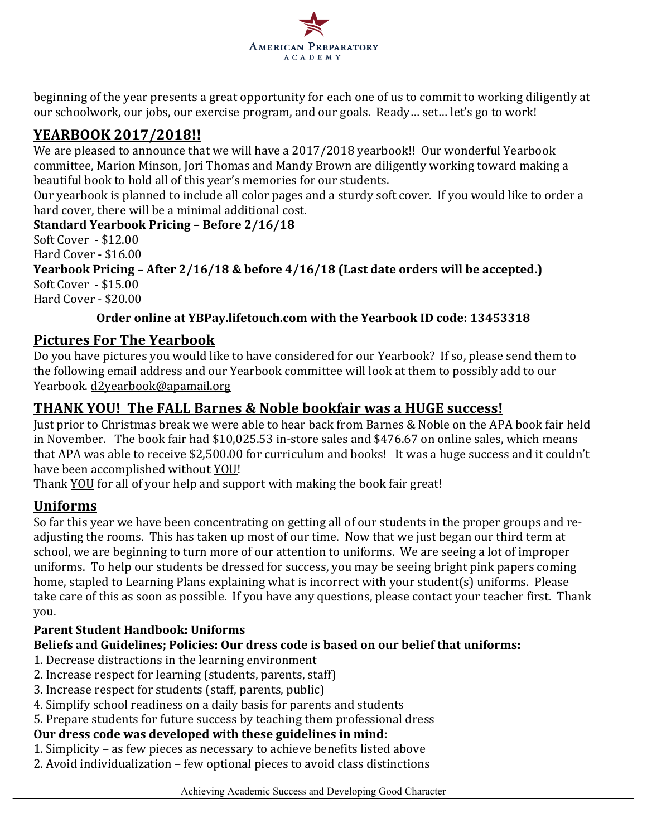

beginning of the year presents a great opportunity for each one of us to commit to working diligently at our schoolwork, our jobs, our exercise program, and our goals. Ready... set... let's go to work!

# **YEARBOOK 2017/2018!!**

We are pleased to announce that we will have a 2017/2018 yearbook!! Our wonderful Yearbook committee, Marion Minson, Jori Thomas and Mandy Brown are diligently working toward making a beautiful book to hold all of this year's memories for our students.

Our yearbook is planned to include all color pages and a sturdy soft cover. If you would like to order a hard cover, there will be a minimal additional cost.

**Standard Yearbook Pricing – Before 2/16/18**

Soft Cover - \$12.00 Hard  $Cover - $16.00$ 

**Yearbook Pricing – After 2/16/18 & before 4/16/18 (Last date orders will be accepted.)** Soft Cover - \$15.00 Hard Cover - \$20.00

## **Order online at YBPay.lifetouch.com with the Yearbook ID code: 13453318**

# **Pictures For The Yearbook**

Do you have pictures you would like to have considered for our Yearbook? If so, please send them to the following email address and our Yearbook committee will look at them to possibly add to our Yearbook. d2yearbook@apamail.org

# **THANK YOU! The FALL Barnes & Noble bookfair was a HUGE success!**

Just prior to Christmas break we were able to hear back from Barnes & Noble on the APA book fair held in November. The book fair had \$10,025.53 in-store sales and \$476.67 on online sales, which means that APA was able to receive \$2,500.00 for curriculum and books! It was a huge success and it couldn't have been accomplished without YOU!

Thank YOU for all of your help and support with making the book fair great!

## **Uniforms**

So far this year we have been concentrating on getting all of our students in the proper groups and readjusting the rooms. This has taken up most of our time. Now that we just began our third term at school, we are beginning to turn more of our attention to uniforms. We are seeing a lot of improper uniforms. To help our students be dressed for success, you may be seeing bright pink papers coming home, stapled to Learning Plans explaining what is incorrect with your student(s) uniforms. Please take care of this as soon as possible. If you have any questions, please contact your teacher first. Thank you.

## **Parent Student Handbook: Uniforms**

## Beliefs and Guidelines; Policies: Our dress code is based on our belief that uniforms:

- 1. Decrease distractions in the learning environment
- 2. Increase respect for learning (students, parents, staff)
- 3. Increase respect for students (staff, parents, public)
- 4. Simplify school readiness on a daily basis for parents and students
- 5. Prepare students for future success by teaching them professional dress

# Our dress code was developed with these guidelines in mind:

- 1. Simplicity as few pieces as necessary to achieve benefits listed above
- 2. Avoid individualization few optional pieces to avoid class distinctions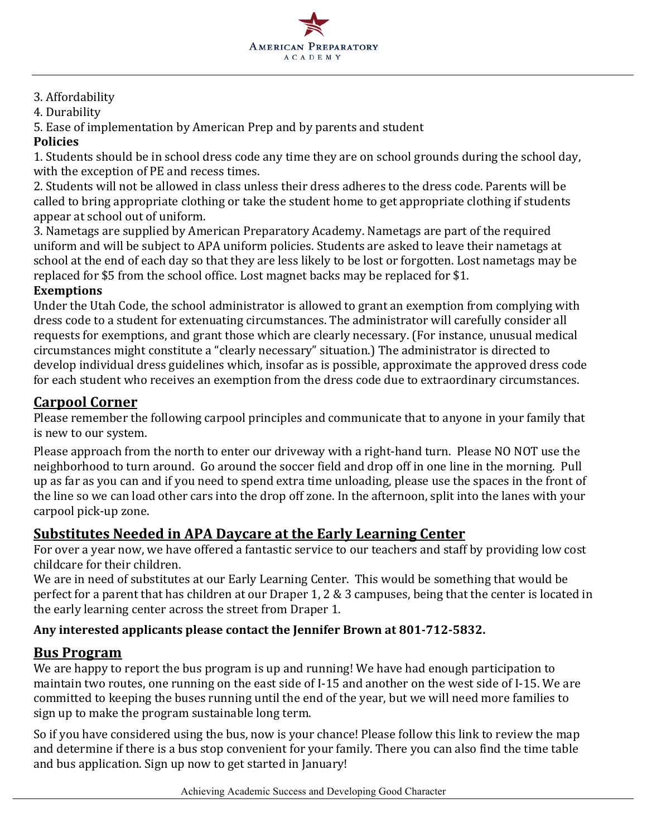

## 3. Affordability

4. Durability 

5. Ease of implementation by American Prep and by parents and student

### **Policies**

1. Students should be in school dress code any time they are on school grounds during the school day, with the exception of PE and recess times.

2. Students will not be allowed in class unless their dress adheres to the dress code. Parents will be called to bring appropriate clothing or take the student home to get appropriate clothing if students appear at school out of uniform.

3. Nametags are supplied by American Preparatory Academy. Nametags are part of the required uniform and will be subject to APA uniform policies. Students are asked to leave their nametags at school at the end of each day so that they are less likely to be lost or forgotten. Lost nametags may be replaced for \$5 from the school office. Lost magnet backs may be replaced for \$1.

#### **Exemptions**

Under the Utah Code, the school administrator is allowed to grant an exemption from complying with dress code to a student for extenuating circumstances. The administrator will carefully consider all requests for exemptions, and grant those which are clearly necessary. (For instance, unusual medical circumstances might constitute a "clearly necessary" situation.) The administrator is directed to develop individual dress guidelines which, insofar as is possible, approximate the approved dress code for each student who receives an exemption from the dress code due to extraordinary circumstances.

## **Carpool Corner**

Please remember the following carpool principles and communicate that to anyone in your family that is new to our system.

Please approach from the north to enter our driveway with a right-hand turn. Please NO NOT use the neighborhood to turn around. Go around the soccer field and drop off in one line in the morning. Pull up as far as you can and if you need to spend extra time unloading, please use the spaces in the front of the line so we can load other cars into the drop off zone. In the afternoon, split into the lanes with your carpool pick-up zone.

# **<u>Substitutes Needed in APA Daycare at the Early Learning Center</u>**

For over a year now, we have offered a fantastic service to our teachers and staff by providing low cost childcare for their children.

We are in need of substitutes at our Early Learning Center. This would be something that would be perfect for a parent that has children at our Draper 1, 2  $\&$  3 campuses, being that the center is located in the early learning center across the street from Draper 1.

## Any interested applicants please contact the Jennifer Brown at 801-712-5832.

## **Bus Program**

We are happy to report the bus program is up and running! We have had enough participation to maintain two routes, one running on the east side of I-15 and another on the west side of I-15. We are committed to keeping the buses running until the end of the year, but we will need more families to sign up to make the program sustainable long term.

So if you have considered using the bus, now is your chance! Please follow this link to review the map and determine if there is a bus stop convenient for your family. There you can also find the time table and bus application. Sign up now to get started in January!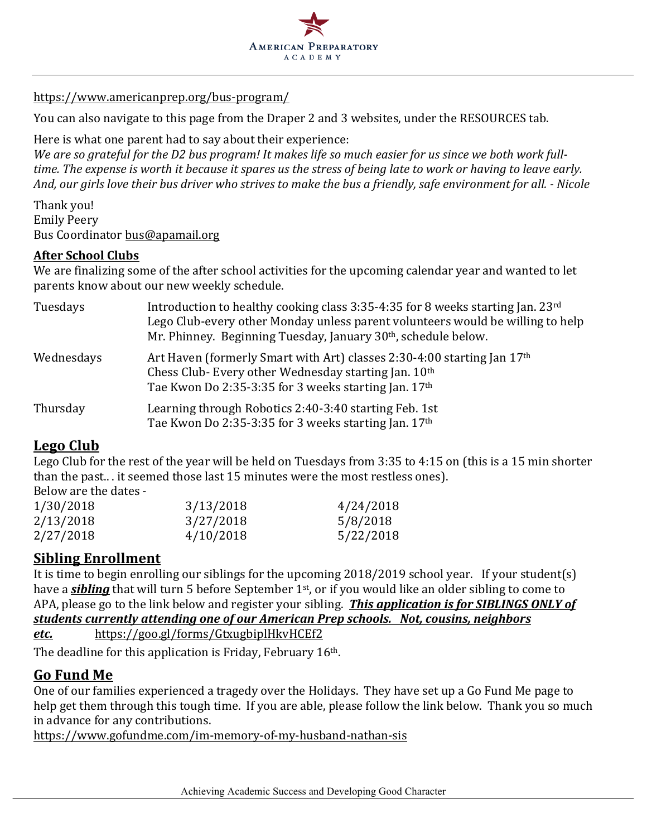

#### https://www.americanprep.org/bus-program/

You can also navigate to this page from the Draper 2 and 3 websites, under the RESOURCES tab.

Here is what one parent had to say about their experience:

We are so grateful for the D2 bus program! It makes life so much easier for us since we both work full*time.* The expense is worth it because it spares us the stress of being late to work or having to leave early. *And, our girls love their bus driver who strives to make the bus a friendly, safe environment for all. - Nicole*

Thank you! Emily Peery Bus Coordinator bus@apamail.org

#### **After School Clubs**

We are finalizing some of the after school activities for the upcoming calendar year and wanted to let parents know about our new weekly schedule.

| Tuesdays   | Introduction to healthy cooking class 3:35-4:35 for 8 weeks starting Jan. 23rd<br>Lego Club-every other Monday unless parent volunteers would be willing to help<br>Mr. Phinney. Beginning Tuesday, January 30 <sup>th</sup> , schedule below. |
|------------|------------------------------------------------------------------------------------------------------------------------------------------------------------------------------------------------------------------------------------------------|
| Wednesdays | Art Haven (formerly Smart with Art) classes 2:30-4:00 starting Jan 17 <sup>th</sup><br>Chess Club-Every other Wednesday starting Jan. 10th<br>Tae Kwon Do 2:35-3:35 for 3 weeks starting Jan. 17th                                             |
| Thursday   | Learning through Robotics 2:40-3:40 starting Feb. 1st<br>Tae Kwon Do 2:35-3:35 for 3 weeks starting Jan. 17th                                                                                                                                  |

## **Lego Club**

Lego Club for the rest of the year will be held on Tuesdays from  $3:35$  to  $4:15$  on (this is a 15 min shorter than the past... it seemed those last 15 minutes were the most restless ones). Below are the dates -

| 1/30/2018 | 3/13/2018 | 4/24/2018 |  |
|-----------|-----------|-----------|--|
| 2/13/2018 | 3/27/2018 | 5/8/2018  |  |
| 2/27/2018 | 4/10/2018 | 5/22/2018 |  |

## **Sibling Enrollment**

It is time to begin enrolling our siblings for the upcoming  $2018/2019$  school year. If your student(s) have a *sibling* that will turn 5 before September 1<sup>st</sup>, or if you would like an older sibling to come to APA, please go to the link below and register your sibling. **This application is for SIBLINGS ONLY of** students currently attending one of our American Prep schools. Not, cousins, neighbors *etc.* https://goo.gl/forms/GtxugbiplHkvHCEf2

The deadline for this application is Friday, February  $16<sup>th</sup>$ .

## **Go Fund Me**

One of our families experienced a tragedy over the Holidays. They have set up a Go Fund Me page to help get them through this tough time. If you are able, please follow the link below. Thank you so much in advance for any contributions.

https://www.gofundme.com/im-memory-of-my-husband-nathan-sis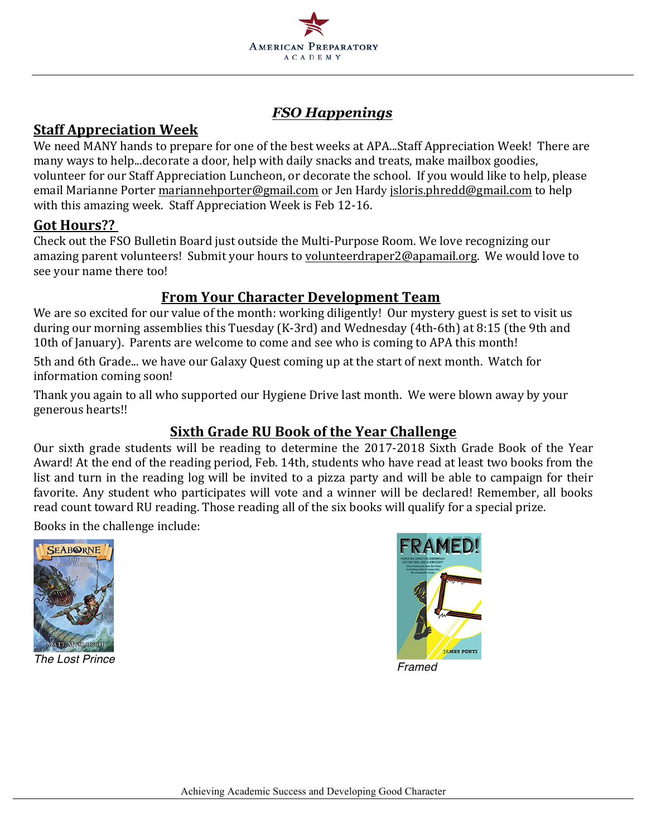

# *FSO Happenings*

# **Staff Appreciation Week**

We need MANY hands to prepare for one of the best weeks at APA...Staff Appreciation Week! There are many ways to help...decorate a door, help with daily snacks and treats, make mailbox goodies, volunteer for our Staff Appreciation Luncheon, or decorate the school. If you would like to help, please email Marianne Porter mariannehporter@gmail.com or Jen Hardy jsloris.phredd@gmail.com to help with this amazing week. Staff Appreciation Week is Feb 12-16.

## **Got Hours??**

Check out the FSO Bulletin Board just outside the Multi-Purpose Room. We love recognizing our amazing parent volunteers! Submit your hours to volunteerdraper2@apamail.org. We would love to see your name there too!

# **From Your Character Development Team**

We are so excited for our value of the month: working diligently! Our mystery guest is set to visit us during our morning assemblies this Tuesday (K-3rd) and Wednesday (4th-6th) at 8:15 (the 9th and 10th of January). Parents are welcome to come and see who is coming to APA this month!

5th and 6th Grade... we have our Galaxy Quest coming up at the start of next month. Watch for information coming soon!

Thank you again to all who supported our Hygiene Drive last month. We were blown away by your generous hearts!!

# **<u>Sixth Grade RU Book of the Year Challenge</u>**

Our sixth grade students will be reading to determine the 2017-2018 Sixth Grade Book of the Year Award! At the end of the reading period, Feb. 14th, students who have read at least two books from the list and turn in the reading log will be invited to a pizza party and will be able to campaign for their favorite. Any student who participates will vote and a winner will be declared! Remember, all books read count toward RU reading. Those reading all of the six books will qualify for a special prize.

Books in the challenge include: